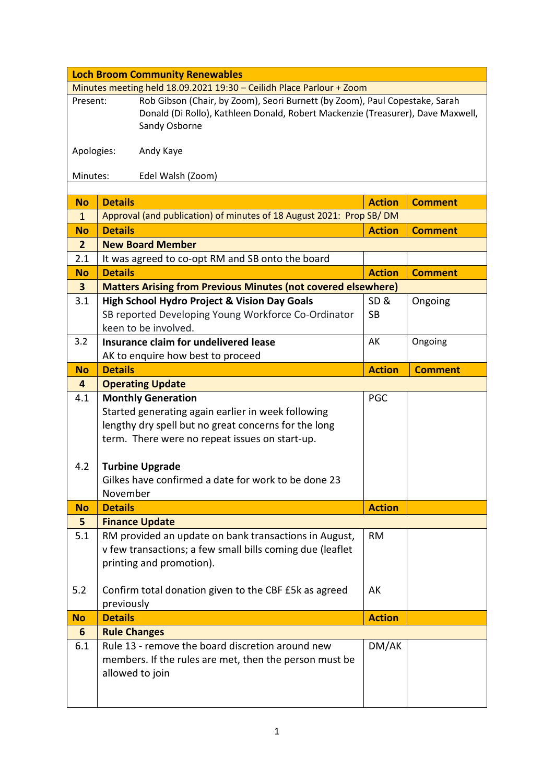|                                                                      | <b>Loch Broom Community Renewables</b>                                          |               |                |  |  |
|----------------------------------------------------------------------|---------------------------------------------------------------------------------|---------------|----------------|--|--|
| Minutes meeting held 18.09.2021 19:30 - Ceilidh Place Parlour + Zoom |                                                                                 |               |                |  |  |
| Present:                                                             | Rob Gibson (Chair, by Zoom), Seori Burnett (by Zoom), Paul Copestake, Sarah     |               |                |  |  |
|                                                                      | Donald (Di Rollo), Kathleen Donald, Robert Mackenzie (Treasurer), Dave Maxwell, |               |                |  |  |
|                                                                      | Sandy Osborne                                                                   |               |                |  |  |
| Apologies:                                                           | Andy Kaye                                                                       |               |                |  |  |
|                                                                      |                                                                                 |               |                |  |  |
| Minutes:                                                             | Edel Walsh (Zoom)                                                               |               |                |  |  |
|                                                                      |                                                                                 |               |                |  |  |
| <b>No</b>                                                            | <b>Details</b>                                                                  | <b>Action</b> | <b>Comment</b> |  |  |
| $\mathbf{1}$                                                         | Approval (and publication) of minutes of 18 August 2021: Prop SB/DM             |               |                |  |  |
| <b>No</b>                                                            | <b>Details</b>                                                                  | <b>Action</b> | <b>Comment</b> |  |  |
| $\overline{2}$                                                       | <b>New Board Member</b>                                                         |               |                |  |  |
| 2.1                                                                  | It was agreed to co-opt RM and SB onto the board                                |               |                |  |  |
| <b>No</b>                                                            | <b>Details</b>                                                                  | <b>Action</b> | <b>Comment</b> |  |  |
| $\overline{\mathbf{3}}$                                              | <b>Matters Arising from Previous Minutes (not covered elsewhere)</b>            |               |                |  |  |
| 3.1                                                                  | <b>High School Hydro Project &amp; Vision Day Goals</b>                         | SD&           | Ongoing        |  |  |
|                                                                      | SB reported Developing Young Workforce Co-Ordinator                             | <b>SB</b>     |                |  |  |
|                                                                      | keen to be involved.                                                            |               |                |  |  |
| 3.2                                                                  | Insurance claim for undelivered lease                                           | AK            | Ongoing        |  |  |
|                                                                      | AK to enquire how best to proceed                                               |               |                |  |  |
| <b>No</b>                                                            | <b>Details</b>                                                                  | <b>Action</b> | <b>Comment</b> |  |  |
| 4                                                                    | <b>Operating Update</b>                                                         |               |                |  |  |
| 4.1                                                                  | <b>Monthly Generation</b>                                                       | <b>PGC</b>    |                |  |  |
|                                                                      | Started generating again earlier in week following                              |               |                |  |  |
|                                                                      | lengthy dry spell but no great concerns for the long                            |               |                |  |  |
|                                                                      | term. There were no repeat issues on start-up.                                  |               |                |  |  |
|                                                                      |                                                                                 |               |                |  |  |
|                                                                      |                                                                                 |               |                |  |  |
| 4.2                                                                  | <b>Turbine Upgrade</b>                                                          |               |                |  |  |
|                                                                      | Gilkes have confirmed a date for work to be done 23                             |               |                |  |  |
|                                                                      | November                                                                        |               |                |  |  |
| <b>No</b>                                                            | <b>Details</b>                                                                  | <b>Action</b> |                |  |  |
| 5                                                                    | <b>Finance Update</b>                                                           |               |                |  |  |
| 5.1                                                                  | RM provided an update on bank transactions in August,                           | <b>RM</b>     |                |  |  |
|                                                                      | v few transactions; a few small bills coming due (leaflet                       |               |                |  |  |
|                                                                      | printing and promotion).                                                        |               |                |  |  |
|                                                                      |                                                                                 |               |                |  |  |
| 5.2                                                                  | Confirm total donation given to the CBF £5k as agreed                           | AK            |                |  |  |
|                                                                      | previously                                                                      |               |                |  |  |
| <b>No</b><br>6                                                       | <b>Details</b>                                                                  | <b>Action</b> |                |  |  |
| 6.1                                                                  | <b>Rule Changes</b><br>Rule 13 - remove the board discretion around new         |               |                |  |  |
|                                                                      |                                                                                 | DM/AK         |                |  |  |
|                                                                      | members. If the rules are met, then the person must be<br>allowed to join       |               |                |  |  |
|                                                                      |                                                                                 |               |                |  |  |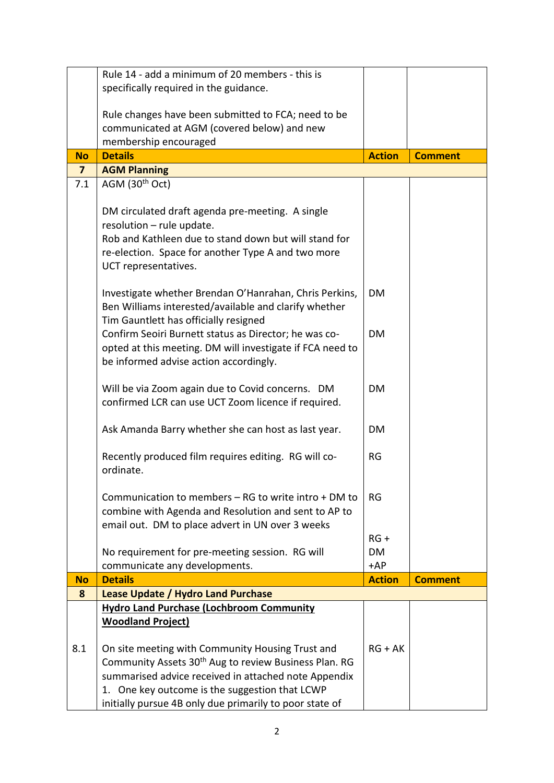|                | Rule 14 - add a minimum of 20 members - this is                                                                       |               |                |
|----------------|-----------------------------------------------------------------------------------------------------------------------|---------------|----------------|
|                | specifically required in the guidance.                                                                                |               |                |
|                |                                                                                                                       |               |                |
|                | Rule changes have been submitted to FCA; need to be                                                                   |               |                |
|                | communicated at AGM (covered below) and new                                                                           |               |                |
| <b>No</b>      | membership encouraged<br><b>Details</b>                                                                               | <b>Action</b> | <b>Comment</b> |
| $\overline{7}$ | <b>AGM Planning</b>                                                                                                   |               |                |
| 7.1            | AGM $(30th Oct)$                                                                                                      |               |                |
|                |                                                                                                                       |               |                |
|                | DM circulated draft agenda pre-meeting. A single                                                                      |               |                |
|                | resolution - rule update.                                                                                             |               |                |
|                | Rob and Kathleen due to stand down but will stand for                                                                 |               |                |
|                | re-election. Space for another Type A and two more                                                                    |               |                |
|                | UCT representatives.                                                                                                  |               |                |
|                |                                                                                                                       |               |                |
|                | Investigate whether Brendan O'Hanrahan, Chris Perkins,                                                                | <b>DM</b>     |                |
|                | Ben Williams interested/available and clarify whether                                                                 |               |                |
|                | Tim Gauntlett has officially resigned<br>Confirm Seoiri Burnett status as Director; he was co-                        | <b>DM</b>     |                |
|                | opted at this meeting. DM will investigate if FCA need to                                                             |               |                |
|                | be informed advise action accordingly.                                                                                |               |                |
|                |                                                                                                                       |               |                |
|                | Will be via Zoom again due to Covid concerns. DM                                                                      | <b>DM</b>     |                |
|                | confirmed LCR can use UCT Zoom licence if required.                                                                   |               |                |
|                |                                                                                                                       |               |                |
|                | Ask Amanda Barry whether she can host as last year.                                                                   | <b>DM</b>     |                |
|                |                                                                                                                       |               |                |
|                | Recently produced film requires editing. RG will co-                                                                  | RG            |                |
|                | ordinate.                                                                                                             |               |                |
|                | Communication to members – RG to write intro + DM to                                                                  | RG            |                |
|                | combine with Agenda and Resolution and sent to AP to                                                                  |               |                |
|                | email out. DM to place advert in UN over 3 weeks                                                                      |               |                |
|                |                                                                                                                       | $RG +$        |                |
|                | No requirement for pre-meeting session. RG will                                                                       | <b>DM</b>     |                |
|                | communicate any developments.                                                                                         | $+AP$         |                |
| <b>No</b>      | <b>Details</b>                                                                                                        | <b>Action</b> | <b>Comment</b> |
| 8              | Lease Update / Hydro Land Purchase                                                                                    |               |                |
|                | <b>Hydro Land Purchase (Lochbroom Community</b>                                                                       |               |                |
|                | <b>Woodland Project)</b>                                                                                              |               |                |
|                |                                                                                                                       |               |                |
| 8.1            | On site meeting with Community Housing Trust and<br>Community Assets 30 <sup>th</sup> Aug to review Business Plan. RG | $RG + AK$     |                |
|                | summarised advice received in attached note Appendix                                                                  |               |                |
|                | 1. One key outcome is the suggestion that LCWP                                                                        |               |                |
|                | initially pursue 4B only due primarily to poor state of                                                               |               |                |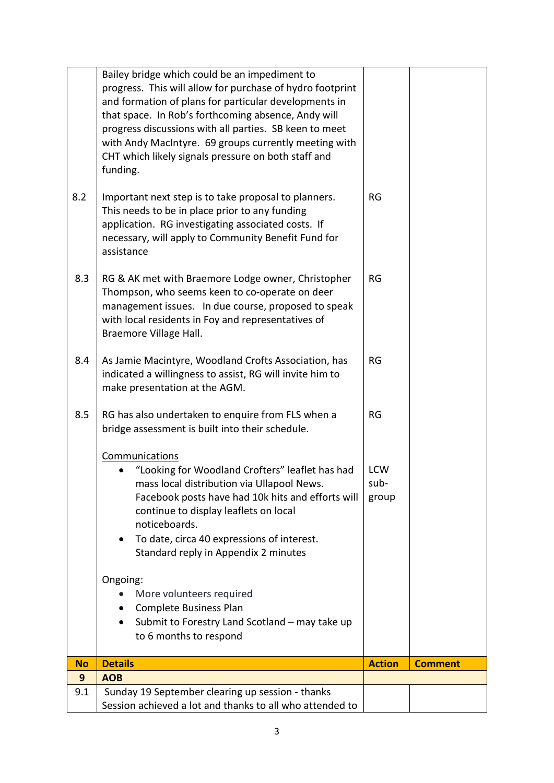|           | Bailey bridge which could be an impediment to<br>progress. This will allow for purchase of hydro footprint<br>and formation of plans for particular developments in<br>that space. In Rob's forthcoming absence, Andy will<br>progress discussions with all parties. SB keen to meet<br>with Andy MacIntyre. 69 groups currently meeting with<br>CHT which likely signals pressure on both staff and<br>funding. |                             |                |
|-----------|------------------------------------------------------------------------------------------------------------------------------------------------------------------------------------------------------------------------------------------------------------------------------------------------------------------------------------------------------------------------------------------------------------------|-----------------------------|----------------|
| 8.2       | Important next step is to take proposal to planners.<br>This needs to be in place prior to any funding<br>application. RG investigating associated costs. If<br>necessary, will apply to Community Benefit Fund for<br>assistance                                                                                                                                                                                | RG                          |                |
| 8.3       | RG & AK met with Braemore Lodge owner, Christopher<br>Thompson, who seems keen to co-operate on deer<br>management issues. In due course, proposed to speak<br>with local residents in Foy and representatives of<br>Braemore Village Hall.                                                                                                                                                                      | RG                          |                |
| 8.4       | As Jamie Macintyre, Woodland Crofts Association, has<br>indicated a willingness to assist, RG will invite him to<br>make presentation at the AGM.                                                                                                                                                                                                                                                                | <b>RG</b>                   |                |
| 8.5       | RG has also undertaken to enquire from FLS when a<br>bridge assessment is built into their schedule.                                                                                                                                                                                                                                                                                                             | <b>RG</b>                   |                |
|           | Communications<br>"Looking for Woodland Crofters" leaflet has had<br>mass local distribution via Ullapool News.<br>Facebook posts have had 10k hits and efforts will<br>continue to display leaflets on local<br>noticeboards.<br>To date, circa 40 expressions of interest.<br>Standard reply in Appendix 2 minutes                                                                                             | <b>LCW</b><br>sub-<br>group |                |
|           | Ongoing:<br>More volunteers required<br>Complete Business Plan<br>$\bullet$<br>Submit to Forestry Land Scotland - may take up<br>to 6 months to respond                                                                                                                                                                                                                                                          |                             |                |
| <b>No</b> | <b>Details</b>                                                                                                                                                                                                                                                                                                                                                                                                   | <b>Action</b>               | <b>Comment</b> |
| 9         | <b>AOB</b>                                                                                                                                                                                                                                                                                                                                                                                                       |                             |                |
| 9.1       | Sunday 19 September clearing up session - thanks<br>Session achieved a lot and thanks to all who attended to                                                                                                                                                                                                                                                                                                     |                             |                |